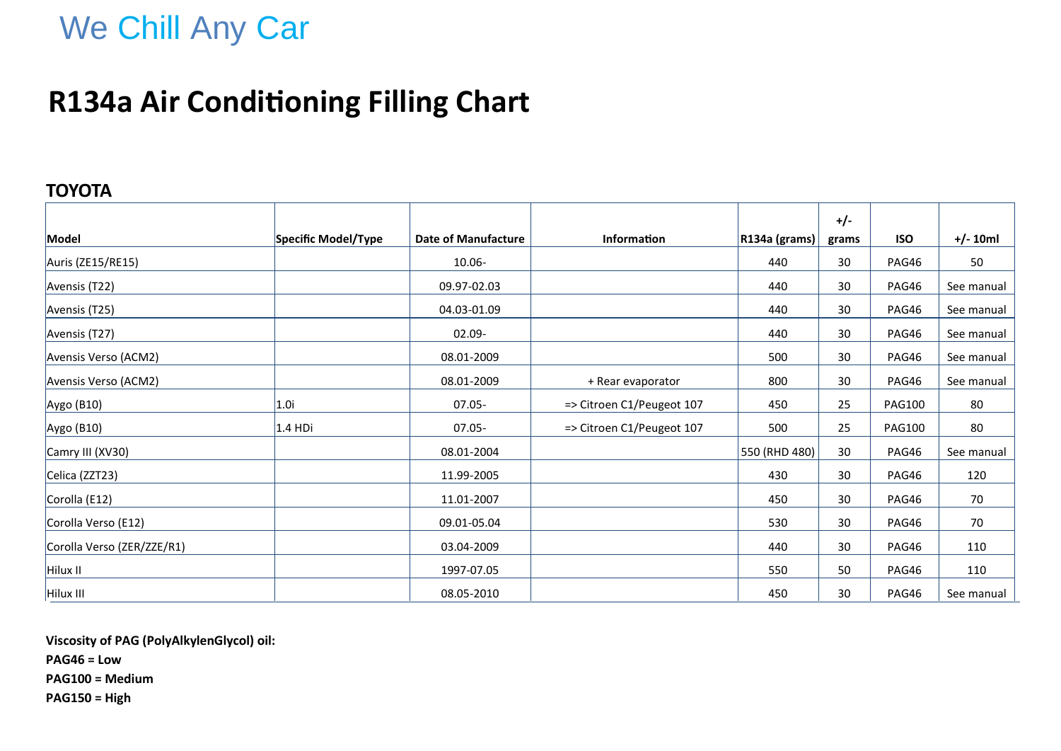## **R134a Air Conditioning Filling Chart**

### **TOYOTA**

|                            |                     |                            |                           |               | $+/-$ |               |            |
|----------------------------|---------------------|----------------------------|---------------------------|---------------|-------|---------------|------------|
| Model                      | Specific Model/Type | <b>Date of Manufacture</b> | <b>Information</b>        | R134a (grams) | grams | <b>ISO</b>    | $+/- 10ml$ |
| Auris (ZE15/RE15)          |                     | $10.06 -$                  |                           | 440           | 30    | PAG46         | 50         |
| Avensis (T22)              |                     | 09.97-02.03                |                           | 440           | 30    | PAG46         | See manual |
| Avensis (T25)              |                     | 04.03-01.09                |                           | 440           | 30    | PAG46         | See manual |
| Avensis (T27)              |                     | $02.09 -$                  |                           | 440           | 30    | PAG46         | See manual |
| Avensis Verso (ACM2)       |                     | 08.01-2009                 |                           | 500           | 30    | PAG46         | See manual |
| Avensis Verso (ACM2)       |                     | 08.01-2009                 | + Rear evaporator         | 800           | 30    | PAG46         | See manual |
| Aygo (B10)                 | 1.0i                | $07.05 -$                  | => Citroen C1/Peugeot 107 | 450           | 25    | <b>PAG100</b> | 80         |
| Aygo (B10)                 | $1.4$ HDi           | $07.05 -$                  | => Citroen C1/Peugeot 107 | 500           | 25    | <b>PAG100</b> | 80         |
| Camry III (XV30)           |                     | 08.01-2004                 |                           | 550 (RHD 480) | 30    | PAG46         | See manual |
| Celica (ZZT23)             |                     | 11.99-2005                 |                           | 430           | 30    | PAG46         | 120        |
| Corolla (E12)              |                     | 11.01-2007                 |                           | 450           | 30    | PAG46         | 70         |
| Corolla Verso (E12)        |                     | 09.01-05.04                |                           | 530           | 30    | PAG46         | 70         |
| Corolla Verso (ZER/ZZE/R1) |                     | 03.04-2009                 |                           | 440           | 30    | PAG46         | 110        |
| Hilux II                   |                     | 1997-07.05                 |                           | 550           | 50    | PAG46         | 110        |
| Hilux III                  |                     | 08.05-2010                 |                           | 450           | 30    | PAG46         | See manual |

**Viscosity of PAG (PolyAlkylenGlycol) oil:**

**PAG46 = Low**

**PAG100 = Medium**

**PAG150 = High**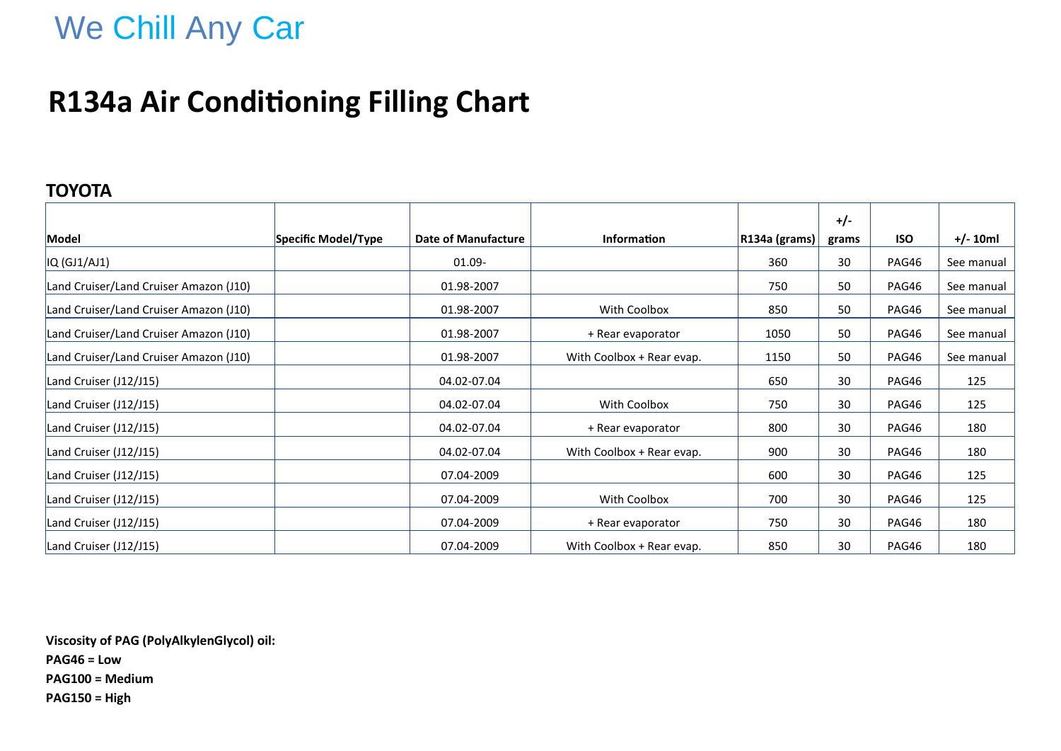## **R134a Air Conditioning Filling Chart**

### **TOYOTA**

|                                        |                     |                     |                           |               | $+/-$ |            |            |
|----------------------------------------|---------------------|---------------------|---------------------------|---------------|-------|------------|------------|
| Model                                  | Specific Model/Type | Date of Manufacture | <b>Information</b>        | R134a (grams) | grams | <b>ISO</b> | $+/- 10ml$ |
| $IQ$ (GJ1/AJ1)                         |                     | 01.09-              |                           | 360           | 30    | PAG46      | See manual |
| Land Cruiser/Land Cruiser Amazon (J10) |                     | 01.98-2007          |                           | 750           | 50    | PAG46      | See manual |
| Land Cruiser/Land Cruiser Amazon (J10) |                     | 01.98-2007          | With Coolbox              | 850           | 50    | PAG46      | See manual |
| Land Cruiser/Land Cruiser Amazon (J10) |                     | 01.98-2007          | + Rear evaporator         | 1050          | 50    | PAG46      | See manual |
| Land Cruiser/Land Cruiser Amazon (J10) |                     | 01.98-2007          | With Coolbox + Rear evap. | 1150          | 50    | PAG46      | See manual |
| Land Cruiser (J12/J15)                 |                     | 04.02-07.04         |                           | 650           | 30    | PAG46      | 125        |
| Land Cruiser (J12/J15)                 |                     | 04.02-07.04         | With Coolbox              | 750           | 30    | PAG46      | 125        |
| Land Cruiser (J12/J15)                 |                     | 04.02-07.04         | + Rear evaporator         | 800           | 30    | PAG46      | 180        |
| Land Cruiser (J12/J15)                 |                     | 04.02-07.04         | With Coolbox + Rear evap. | 900           | 30    | PAG46      | 180        |
| Land Cruiser (J12/J15)                 |                     | 07.04-2009          |                           | 600           | 30    | PAG46      | 125        |
| Land Cruiser (J12/J15)                 |                     | 07.04-2009          | With Coolbox              | 700           | 30    | PAG46      | 125        |
| Land Cruiser (J12/J15)                 |                     | 07.04-2009          | + Rear evaporator         | 750           | 30    | PAG46      | 180        |
| Land Cruiser (J12/J15)                 |                     | 07.04-2009          | With Coolbox + Rear evap. | 850           | 30    | PAG46      | 180        |

**Viscosity of PAG (PolyAlkylenGlycol) oil: PAG46 = Low PAG100 = Medium PAG150 = High**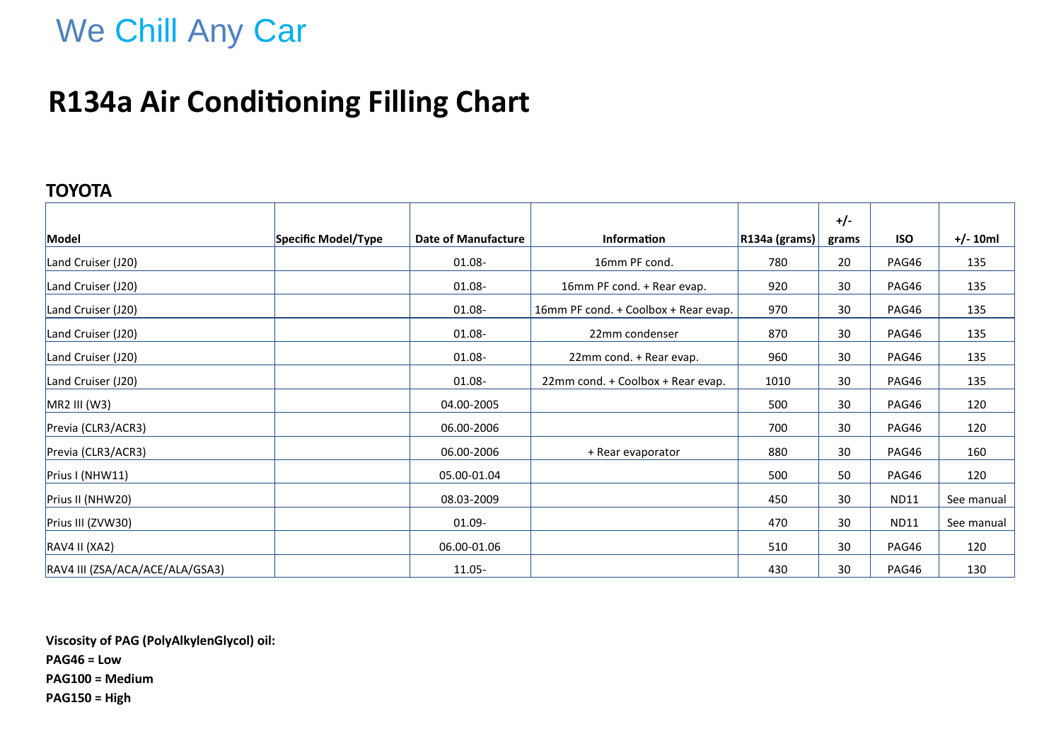## **R134a Air Conditioning Filling Chart**

### **TOYOTA**

|                                 |                     |                            |                                      |                      | $+/-$ |             |            |
|---------------------------------|---------------------|----------------------------|--------------------------------------|----------------------|-------|-------------|------------|
| Model                           | Specific Model/Type | <b>Date of Manufacture</b> | Information                          | $ R134a$ (grams) $ $ | grams | <b>ISO</b>  | $+/- 10ml$ |
| Land Cruiser (J20)              |                     | 01.08-                     | 16mm PF cond.                        | 780                  | 20    | PAG46       | 135        |
| Land Cruiser (J20)              |                     | 01.08-                     | 16mm PF cond. + Rear evap.           | 920                  | 30    | PAG46       | 135        |
| Land Cruiser (J20)              |                     | 01.08-                     | 16mm PF cond. + Coolbox + Rear evap. | 970                  | 30    | PAG46       | 135        |
| Land Cruiser (J20)              |                     | 01.08-                     | 22mm condenser                       | 870                  | 30    | PAG46       | 135        |
| Land Cruiser (J20)              |                     | 01.08-                     | 22mm cond. + Rear evap.              | 960                  | 30    | PAG46       | 135        |
| Land Cruiser (J20)              |                     | 01.08-                     | 22mm cond. + Coolbox + Rear evap.    | 1010                 | 30    | PAG46       | 135        |
| MR2 III (W3)                    |                     | 04.00-2005                 |                                      | 500                  | 30    | PAG46       | 120        |
| Previa (CLR3/ACR3)              |                     | 06.00-2006                 |                                      | 700                  | 30    | PAG46       | 120        |
| Previa (CLR3/ACR3)              |                     | 06.00-2006                 | + Rear evaporator                    | 880                  | 30    | PAG46       | 160        |
| Prius I (NHW11)                 |                     | 05.00-01.04                |                                      | 500                  | 50    | PAG46       | 120        |
| Prius II (NHW20)                |                     | 08.03-2009                 |                                      | 450                  | 30    | <b>ND11</b> | See manual |
| Prius III (ZVW30)               |                     | 01.09-                     |                                      | 470                  | 30    | <b>ND11</b> | See manual |
| RAV4 II (XA2)                   |                     | 06.00-01.06                |                                      | 510                  | 30    | PAG46       | 120        |
| RAV4 III (ZSA/ACA/ACE/ALA/GSA3) |                     | 11.05-                     |                                      | 430                  | 30    | PAG46       | 130        |

**Viscosity of PAG (PolyAlkylenGlycol) oil: PAG46 = Low PAG100 = Medium PAG150 = High**